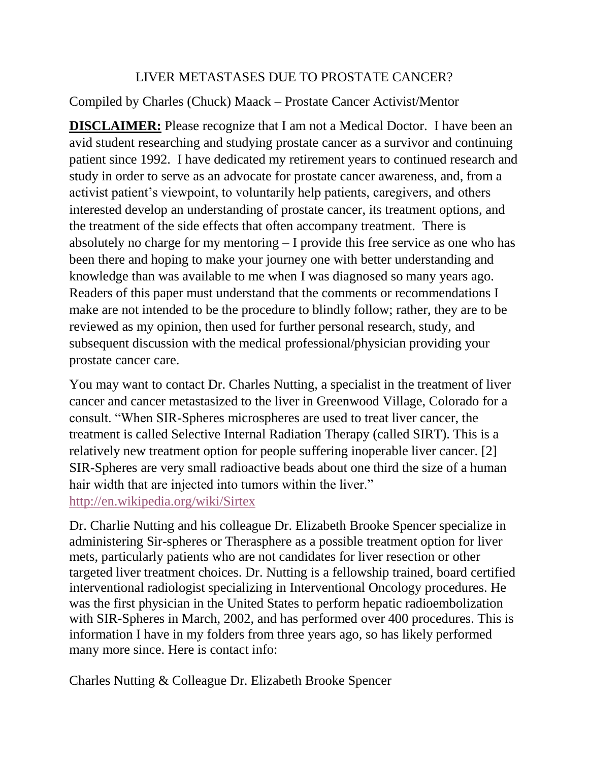## LIVER METASTASES DUE TO PROSTATE CANCER?

Compiled by Charles (Chuck) Maack – Prostate Cancer Activist/Mentor

**DISCLAIMER:** Please recognize that I am not a Medical Doctor. I have been an avid student researching and studying prostate cancer as a survivor and continuing patient since 1992. I have dedicated my retirement years to continued research and study in order to serve as an advocate for prostate cancer awareness, and, from a activist patient's viewpoint, to voluntarily help patients, caregivers, and others interested develop an understanding of prostate cancer, its treatment options, and the treatment of the side effects that often accompany treatment. There is absolutely no charge for my mentoring – I provide this free service as one who has been there and hoping to make your journey one with better understanding and knowledge than was available to me when I was diagnosed so many years ago. Readers of this paper must understand that the comments or recommendations I make are not intended to be the procedure to blindly follow; rather, they are to be reviewed as my opinion, then used for further personal research, study, and subsequent discussion with the medical professional/physician providing your prostate cancer care.

You may want to contact Dr. Charles Nutting, a specialist in the treatment of liver cancer and cancer metastasized to the liver in Greenwood Village, Colorado for a consult. "When SIR-Spheres microspheres are used to treat liver cancer, the treatment is called Selective Internal Radiation Therapy (called SIRT). This is a relatively new treatment option for people suffering inoperable liver cancer. [2] SIR-Spheres are very small radioactive beads about one third the size of a human hair width that are injected into tumors within the liver." <http://en.wikipedia.org/wiki/Sirtex>

Dr. Charlie Nutting and his colleague Dr. Elizabeth Brooke Spencer specialize in administering Sir-spheres or Therasphere as a possible treatment option for liver mets, particularly patients who are not candidates for liver resection or other targeted liver treatment choices. Dr. Nutting is a fellowship trained, board certified interventional radiologist specializing in Interventional Oncology procedures. He was the first physician in the United States to perform hepatic radioembolization with SIR-Spheres in March, 2002, and has performed over 400 procedures. This is information I have in my folders from three years ago, so has likely performed many more since. Here is contact info:

Charles Nutting & Colleague Dr. Elizabeth Brooke Spencer